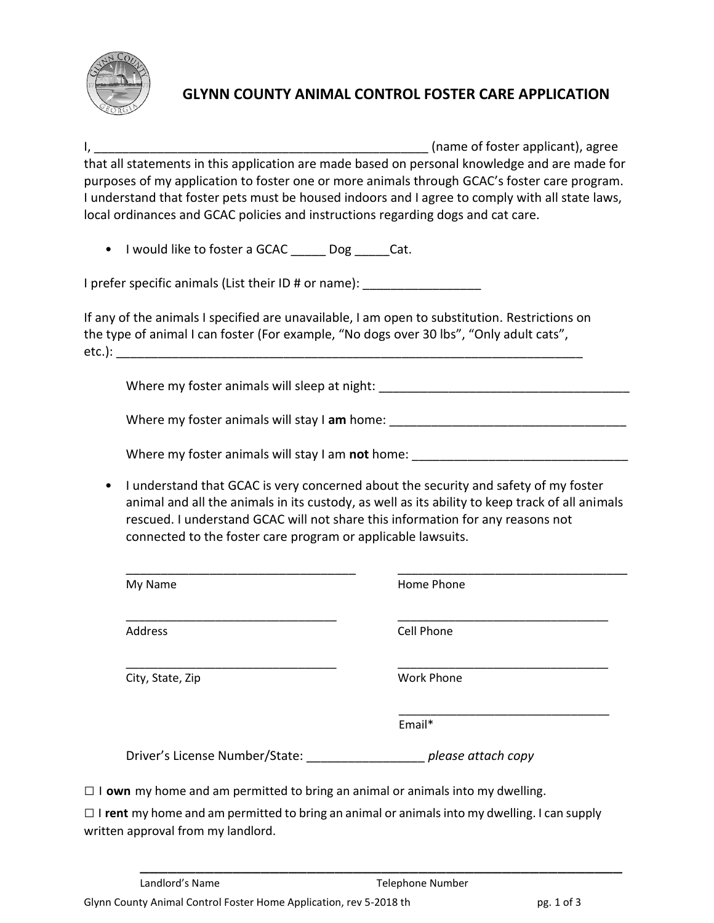

## **GLYNN COUNTY ANIMAL CONTROL FOSTER CARE APPLICATION**

I, \_\_\_\_\_\_\_\_\_\_\_\_\_\_\_\_\_\_\_\_\_\_\_\_\_\_\_\_\_\_\_\_\_\_\_\_\_\_\_\_\_\_\_\_\_\_\_\_ (name of foster applicant), agree that all statements in this application are made based on personal knowledge and are made for purposes of my application to foster one or more animals through GCAC's foster care program. I understand that foster pets must be housed indoors and I agree to comply with all state laws, local ordinances and GCAC policies and instructions regarding dogs and cat care.

• I would like to foster a GCAC Dog Cat.

I prefer specific animals (List their ID # or name): \_\_\_\_\_\_\_\_\_\_\_\_\_\_\_\_\_\_\_\_\_\_\_\_\_\_\_

If any of the animals I specified are unavailable, I am open to substitution. Restrictions on the type of animal I can foster (For example, "No dogs over 30 lbs", "Only adult cats",  $etc.)$ :

Where my foster animals will sleep at night:  $\blacksquare$ 

Where my foster animals will stay I am home: \_\_\_\_\_\_\_\_\_\_\_\_\_\_\_\_\_\_\_\_\_\_\_\_\_\_\_\_\_\_\_\_\_\_\_

Where my foster animals will stay I am **not** home: \_\_\_\_\_\_\_\_\_\_\_\_\_\_\_\_\_\_\_\_\_\_\_\_\_\_\_\_\_\_\_

• I understand that GCAC is very concerned about the security and safety of my foster animal and all the animals in its custody, as well as its ability to keep track of all animals rescued. I understand GCAC will not share this information for any reasons not connected to the foster care program or applicable lawsuits.

| My Name                        | Home Phone         |
|--------------------------------|--------------------|
|                                |                    |
| Address                        | Cell Phone         |
|                                |                    |
| City, State, Zip               | <b>Work Phone</b>  |
|                                |                    |
|                                | Email*             |
|                                |                    |
| Driver's License Number/State: | please attach copy |

 $\Box$  I **own** my home and am permitted to bring an animal or animals into my dwelling.

□ I **rent** my home and am permitted to bring an animal or animals into my dwelling. I can supply written approval from my landlord.

\_\_\_\_\_\_\_\_\_\_\_\_\_\_\_\_\_\_\_\_\_\_\_\_\_\_\_\_\_\_\_\_\_\_\_\_\_\_\_\_\_\_\_\_\_\_\_\_\_\_\_\_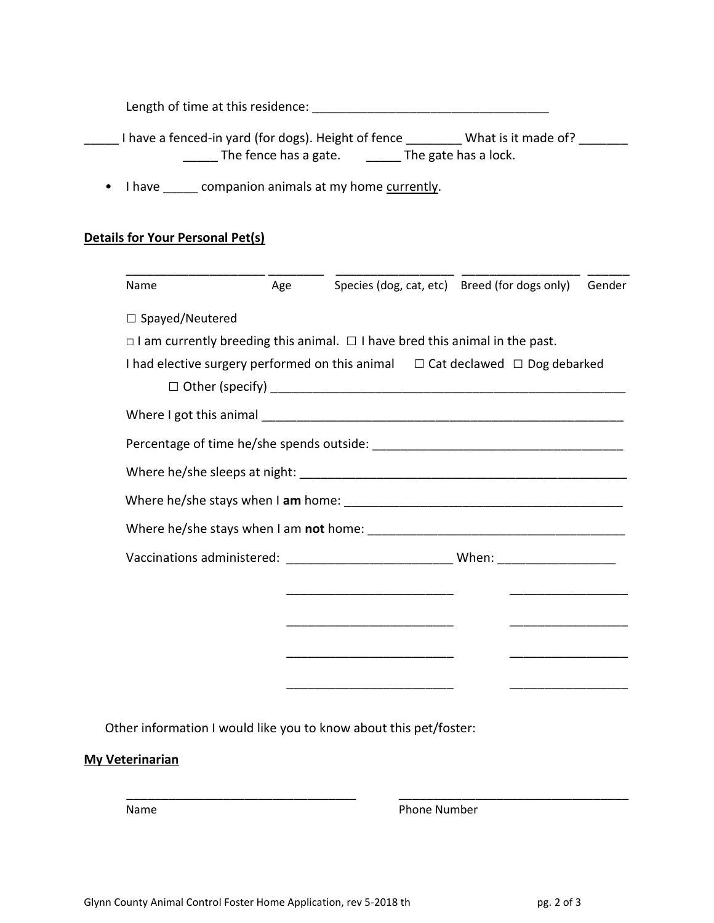Length of time at this residence: \_\_\_\_\_\_\_\_\_\_\_\_\_\_\_\_\_\_\_\_\_\_\_\_\_\_\_\_\_\_\_\_\_\_

| I have a fenced-in yard (for dogs). Height of fence | What is it made of?  |
|-----------------------------------------------------|----------------------|
| The fence has a gate.                               | The gate has a lock. |

• I have \_\_\_\_\_ companion animals at my home currently.

## **Details for Your Personal Pet(s)**

| Name                   | Age |                                                                                               | Species (dog, cat, etc) Breed (for dogs only)                                                                        | Gender |
|------------------------|-----|-----------------------------------------------------------------------------------------------|----------------------------------------------------------------------------------------------------------------------|--------|
| $\Box$ Spayed/Neutered |     |                                                                                               |                                                                                                                      |        |
|                        |     | $\Box$ I am currently breeding this animal. $\Box$ I have bred this animal in the past.       |                                                                                                                      |        |
|                        |     | I had elective surgery performed on this animal $\square$ Cat declawed $\square$ Dog debarked |                                                                                                                      |        |
|                        |     |                                                                                               |                                                                                                                      |        |
|                        |     |                                                                                               |                                                                                                                      |        |
|                        |     |                                                                                               |                                                                                                                      |        |
|                        |     |                                                                                               |                                                                                                                      |        |
|                        |     |                                                                                               |                                                                                                                      |        |
|                        |     |                                                                                               |                                                                                                                      |        |
|                        |     | Vaccinations administered: _________________________________When: ______________              |                                                                                                                      |        |
|                        |     |                                                                                               |                                                                                                                      |        |
|                        |     |                                                                                               |                                                                                                                      |        |
|                        |     |                                                                                               |                                                                                                                      |        |
|                        |     |                                                                                               | <u> Alexandria de la contrada de la contrada de la contrada de la contrada de la contrada de la contrada de la c</u> |        |
|                        |     |                                                                                               |                                                                                                                      |        |
|                        |     |                                                                                               |                                                                                                                      |        |
|                        |     | Other information I would like you to know about this pet/foster:                             |                                                                                                                      |        |

## **My Veterinarian**

Name

Phone Number

\_\_\_\_\_\_\_\_\_\_\_\_\_\_\_\_\_\_\_\_\_\_\_\_\_\_\_\_\_\_\_\_\_

\_\_\_\_\_\_\_\_\_\_\_\_\_\_\_\_\_\_\_\_\_\_\_\_\_\_\_\_\_\_\_\_\_